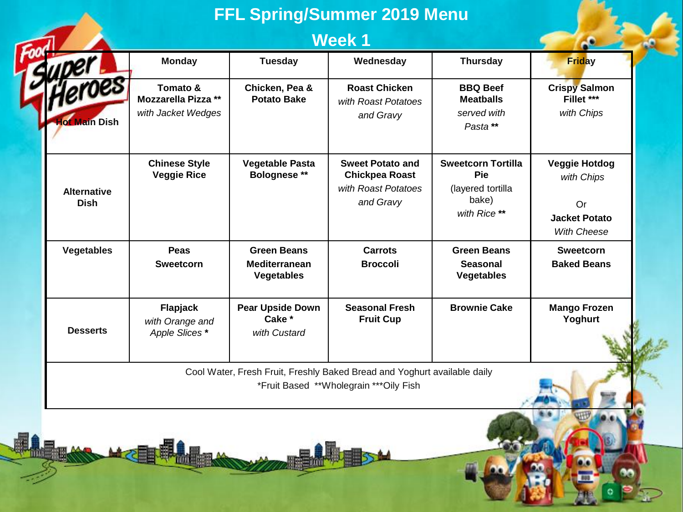| <b>FFL Spring/Summer 2019 Menu</b> |                                                              |                                                                 |                                                                                                                     |                                                                                |                                                                                        |  |
|------------------------------------|--------------------------------------------------------------|-----------------------------------------------------------------|---------------------------------------------------------------------------------------------------------------------|--------------------------------------------------------------------------------|----------------------------------------------------------------------------------------|--|
|                                    |                                                              | <b>Week1</b>                                                    |                                                                                                                     |                                                                                |                                                                                        |  |
|                                    | <b>Monday</b>                                                | <b>Tuesday</b>                                                  | Wednesday                                                                                                           | <b>Thursday</b>                                                                | <b>Friday</b>                                                                          |  |
| leroes<br>lot Main Dish            | Tomato &<br><b>Mozzarella Pizza **</b><br>with Jacket Wedges | Chicken, Pea &<br><b>Potato Bake</b>                            | <b>Roast Chicken</b><br>with Roast Potatoes<br>and Gravy                                                            | <b>BBQ Beef</b><br><b>Meatballs</b><br>served with<br>Pasta**                  | <b>Crispy Salmon</b><br>Fillet ***<br>with Chips                                       |  |
| <b>Alternative</b><br><b>Dish</b>  | <b>Chinese Style</b><br><b>Veggie Rice</b>                   | <b>Vegetable Pasta</b><br><b>Bolognese **</b>                   | <b>Sweet Potato and</b><br><b>Chickpea Roast</b><br>with Roast Potatoes<br>and Gravy                                | <b>Sweetcorn Tortilla</b><br>Pie<br>(layered tortilla<br>bake)<br>with Rice ** | <b>Veggie Hotdog</b><br>with Chips<br>Or<br><b>Jacket Potato</b><br><b>With Cheese</b> |  |
| <b>Vegetables</b>                  | Peas<br><b>Sweetcorn</b>                                     | <b>Green Beans</b><br><b>Mediterranean</b><br><b>Vegetables</b> | <b>Carrots</b><br><b>Broccoli</b>                                                                                   | <b>Green Beans</b><br><b>Seasonal</b><br><b>Vegetables</b>                     | <b>Sweetcorn</b><br><b>Baked Beans</b>                                                 |  |
| <b>Desserts</b>                    | Flapjack<br>with Orange and<br>Apple Slices *                | <b>Pear Upside Down</b><br>Cake *<br>with Custard               | <b>Seasonal Fresh</b><br><b>Fruit Cup</b>                                                                           | <b>Brownie Cake</b>                                                            | <b>Mango Frozen</b><br>Yoghurt                                                         |  |
|                                    |                                                              |                                                                 | Cool Water, Fresh Fruit, Freshly Baked Bread and Yoghurt available daily<br>*Fruit Based **Wholegrain *** Oily Fish |                                                                                |                                                                                        |  |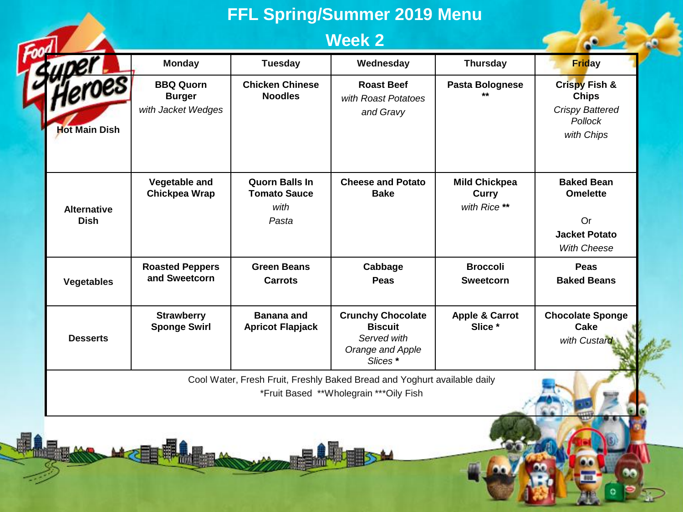## **FFL Spring/Summer 2019 Menu**

## **Week 2**

|                                                                                                                    | <b>Monday</b>                                           | <b>Tuesday</b>                                                | Wednesday                                                                                | <b>Thursday</b>                                      | <b>Friday</b>                                                                                      |  |  |
|--------------------------------------------------------------------------------------------------------------------|---------------------------------------------------------|---------------------------------------------------------------|------------------------------------------------------------------------------------------|------------------------------------------------------|----------------------------------------------------------------------------------------------------|--|--|
| Heroes<br><b>Hot Main Dish</b>                                                                                     | <b>BBQ Quorn</b><br><b>Burger</b><br>with Jacket Wedges | <b>Chicken Chinese</b><br><b>Noodles</b>                      | <b>Roast Beef</b><br>with Roast Potatoes<br>and Gravy                                    | Pasta Bolognese                                      | <b>Crispy Fish &amp;</b><br><b>Chips</b><br><b>Crispy Battered</b><br><b>Pollock</b><br>with Chips |  |  |
| <b>Alternative</b><br><b>Dish</b>                                                                                  | Vegetable and<br>Chickpea Wrap                          | <b>Quorn Balls In</b><br><b>Tomato Sauce</b><br>with<br>Pasta | <b>Cheese and Potato</b><br><b>Bake</b>                                                  | <b>Mild Chickpea</b><br><b>Curry</b><br>with Rice ** | <b>Baked Bean</b><br><b>Omelette</b><br>Or<br><b>Jacket Potato</b><br><b>With Cheese</b>           |  |  |
| <b>Vegetables</b>                                                                                                  | <b>Roasted Peppers</b><br>and Sweetcorn                 | <b>Green Beans</b><br>Carrots                                 | Cabbage<br>Peas                                                                          | <b>Broccoli</b><br><b>Sweetcorn</b>                  | Peas<br><b>Baked Beans</b>                                                                         |  |  |
| <b>Desserts</b>                                                                                                    | <b>Strawberry</b><br><b>Sponge Swirl</b>                | <b>Banana and</b><br><b>Apricot Flapjack</b>                  | <b>Crunchy Chocolate</b><br><b>Biscuit</b><br>Served with<br>Orange and Apple<br>Slices* | <b>Apple &amp; Carrot</b><br>Slice *                 | <b>Chocolate Sponge</b><br>Cake<br>with Custard                                                    |  |  |
| Cool Water, Fresh Fruit, Freshly Baked Bread and Yoghurt available daily<br>*Fruit Based **Wholegrain ***Oily Fish |                                                         |                                                               |                                                                                          |                                                      |                                                                                                    |  |  |